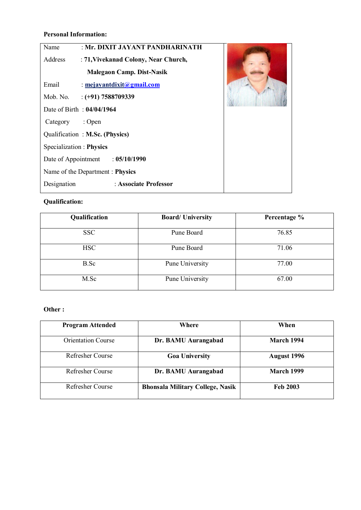### **Personal Information:**

| : Mr. DIXIT JAYANT PANDHARINATH<br>Name         |  |  |  |  |
|-------------------------------------------------|--|--|--|--|
| Address<br>: 71, Vivekanad Colony, Near Church, |  |  |  |  |
| Malegaon Camp. Dist-Nasik                       |  |  |  |  |
| Email<br>: $mejayant dixit (agmail.com)$        |  |  |  |  |
| Mob. No.<br>$:(+91)$ 7588709339                 |  |  |  |  |
| Date of Birth: 04/04/1964                       |  |  |  |  |
| Category<br>$:$ Open                            |  |  |  |  |
| Qualification: M.Sc. (Physics)                  |  |  |  |  |
| Specialization : Physics                        |  |  |  |  |
| Date of Appointment : 05/10/1990                |  |  |  |  |
| Name of the Department: Physics                 |  |  |  |  |
| : Associate Professor<br>Designation            |  |  |  |  |

## **Qualification:**

| Qualification | <b>Board/University</b> | Percentage % |
|---------------|-------------------------|--------------|
| <b>SSC</b>    | Pune Board              | 76.85        |
| <b>HSC</b>    | Pune Board              | 71.06        |
| B.Sc          | Pune University         | 77.00        |
| M.Sc          | Pune University         | 67.00        |

# **Other :**

| <b>Program Attended</b>   | Where                                   | When               |
|---------------------------|-----------------------------------------|--------------------|
| <b>Orientation Course</b> | Dr. BAMU Aurangabad                     | <b>March 1994</b>  |
| <b>Refresher Course</b>   | <b>Goa University</b>                   | <b>August 1996</b> |
| <b>Refresher Course</b>   | Dr. BAMU Aurangabad                     | <b>March 1999</b>  |
| <b>Refresher Course</b>   | <b>Bhonsala Military College, Nasik</b> | <b>Feb 2003</b>    |